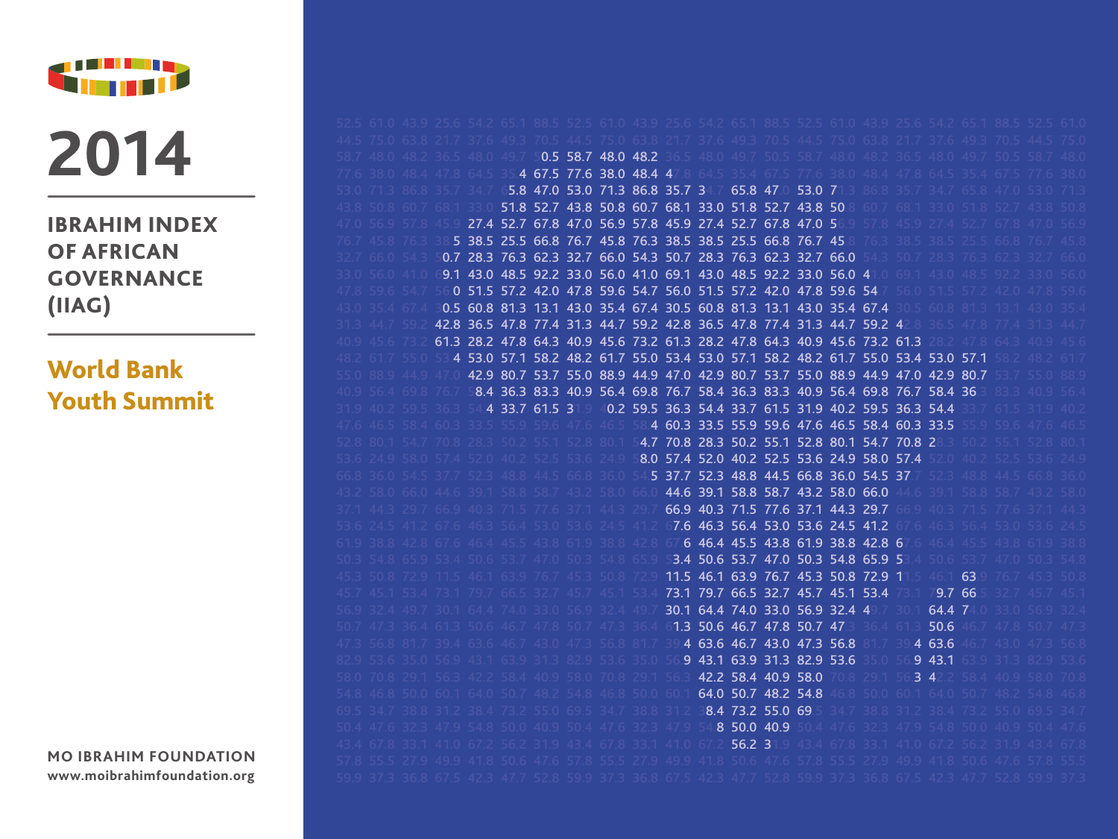

# **2014**

IBRAHIM INDEX OF AFRICAN GOVERNANCE (IIAG)

#### World Bank Youth Summit

**MO IBRAHIM FOUNDATION**<br>www.moibrahimfoundation.org

58.7 50.5 48.0 48.2 35.4 67.5 77.6 38.0 48.4 47.8 65.8 47.0 53.0 71.3 86.8 35.7 34.7 51.8 52.7 43.8 50.8 60.7 68.1 33.0 51.8 52.7 43.8 50.8 27.4 52.7 67.8 47.0 56.9 57.8 45.9 27.4 52.7 67.8 47.0 56.9 76.3 38.5 38.5 25.5 66.8 76.7 45.8 76.3 38.5 38.5 25.5 66.8 76.7 45.8 50.7 28.3 76.3 62.3 32.7 66.0 54.3 50.7 28.3 76.3 62.3 32.7 66.0 69.1 43.0 48.5 92.2 33.0 56.0 41.0 69.1 43.0 48.5 92.2 33.0 56.0 41.0 56.0 51.5 57.2 42.0 47.8 59.6 54.7 56.0 51.5 57.2 42.0 47.8 59.6 54.7 30.5 60.8 81.3 13.1 43.0 35.4 67.4 30.5 60.8 81.3 13.1 43.0 35.4 67.4 42.8 36.5 47.8 77.4 31.3 44.7 59.2 42.8 36.5 47.8 77.4 31.3 44.7 59.2 42.8 61.3 28.2 47.8 64.3 40.9 45.6 73.2 61.3 28.2 47.8 64.3 40.9 45.6 73.2 61.3 53.4 53.0 57.1 58.2 48.2 61.7 55.0 53.4 53.0 57.1 58.2 48.2 61.7 55.0 53.4 53.0 57.1 42.9 80.7 53.7 55.0 88.9 44.9 47.0 42.9 80.7 53.7 55.0 88.9 44.9 47.0 42.9 80.7  $58.4$  36.3 83.3 40.9 56.4 69.8 76.7 58.4 36.3 83.3 40.9 56.4 69.8 76.7 58.4 36 3 54.4 33.7 61.5 31.9 53.0 71.3 40.2 59.5 36.3 54.4 33.7 61.5 31.9 40.2 59.5 36.3 54.4 58.4 60.3 33.5 55.9 59.6 47.6 46.5 58.4 60.3 33.5 54.7 70.8 28.3 50.2 55.1 52.8 80.1 54.7 70.8 28.3 58.0 57.4 52.0 40.2 52.5 53.6 24.9 58.0 57.4 54.5 37.7 52.3 48.8 44.5 66.8 36.0 54.5 37.7 43.2 58.7 58.8 39.1 44.6 58.0 66.0 66.9 40.3 71.5 77.6 37.1 44.3 29.7 53.6 53.0 56.4 46.3 67.6 24.5 41.2 67.6 46.4 45.5 43.8 61.9 38.8 42.8 67.6 53.4 50.6 53.7 47.0 50.3 54.8 65.9 53.4 11.5 46.1 63.9 76.7 45.3 50.8 72.9 11.5 45.7 32.7 66.5 79.7 73.1 45.1 53.4 56.9 33.0 74.0 64.4 30.1 32.4 49.7 50.7 47.8 46.7 50.6 61.3 47.3 39.4 63.6 46.7 43.0 47.3 56.8 56.9 43.1 63.9 31.3 82.9 53.6 42.2 58.4 40.9 58.0 64.0 50.7 48.2 54.8 69.5 55.0 73.2 38.4 47.0 65.8 54.8 50.0 40.9 56.2 31.9 63.9 66.5 79.7 64.4 74.0 50.6 39.4 63.6 56.9 43.1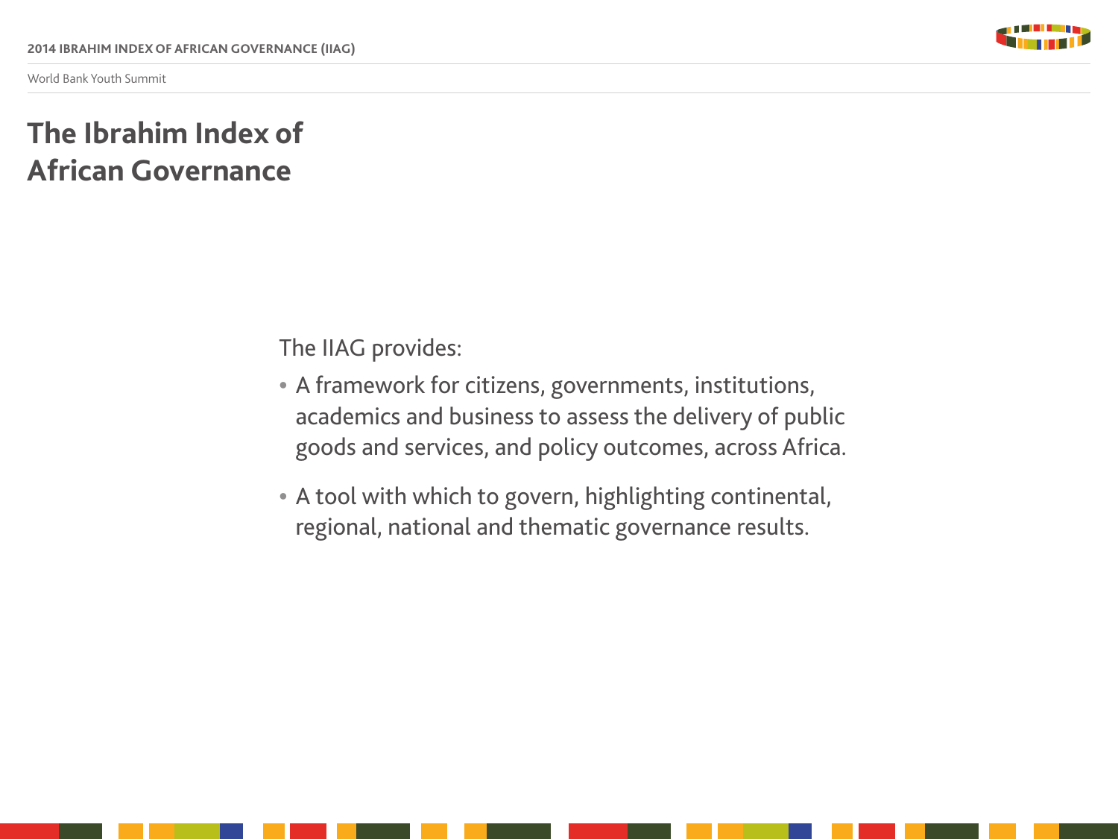

## **The Ibrahim Index of African Governance**

The IIAG provides:

- A framework for citizens, governments, institutions, **•** academics and business to assess the delivery of public goods and services, and policy outcomes, across Africa.
- A tool with which to govern, highlighting continental, **•** regional, national and thematic governance results.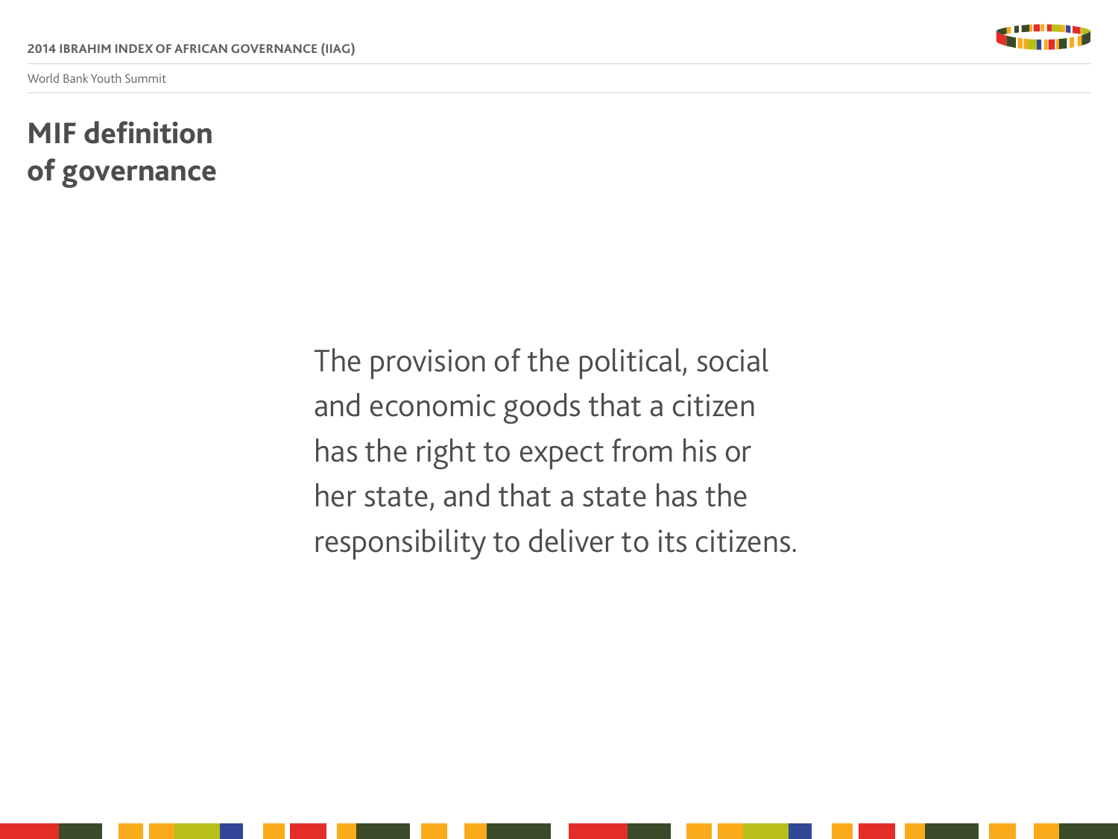

## **MIF definition of governance**

The provision of the political, social and economic goods that a citizen has the right to expect from his or her state, and that a state has the responsibility to deliver to its citizens.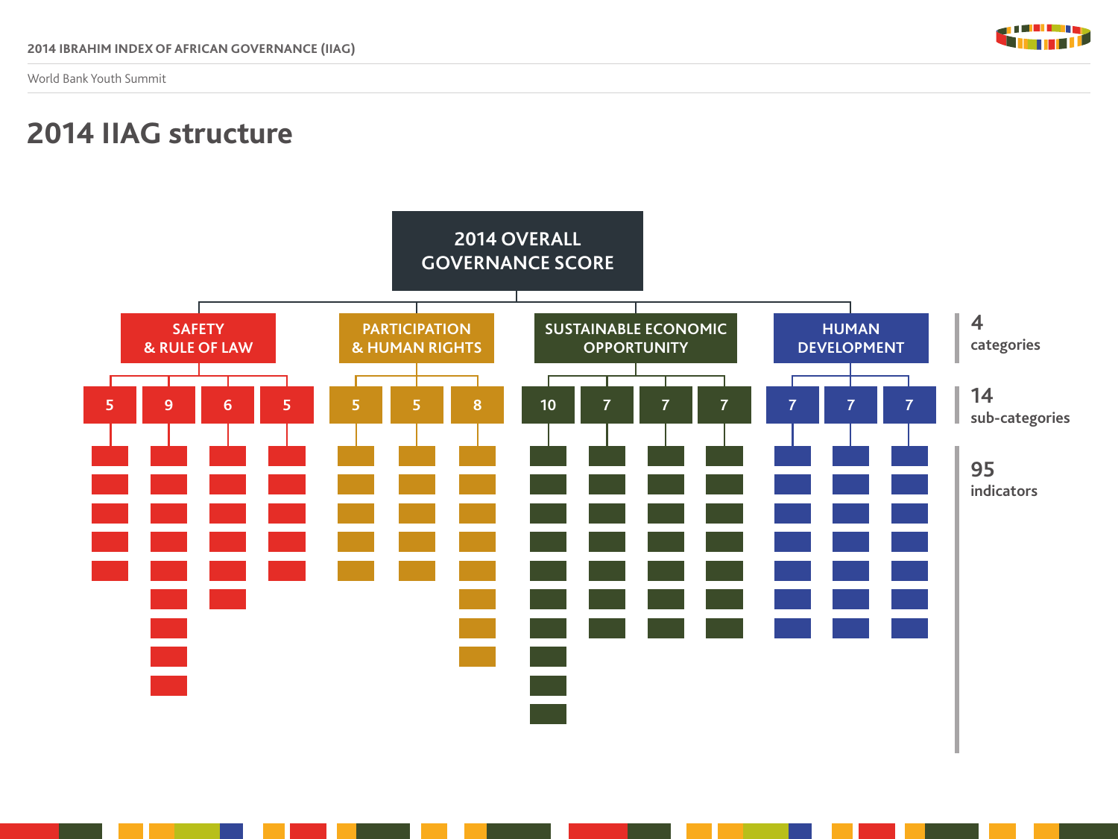

#### **2014 IIAG structure**

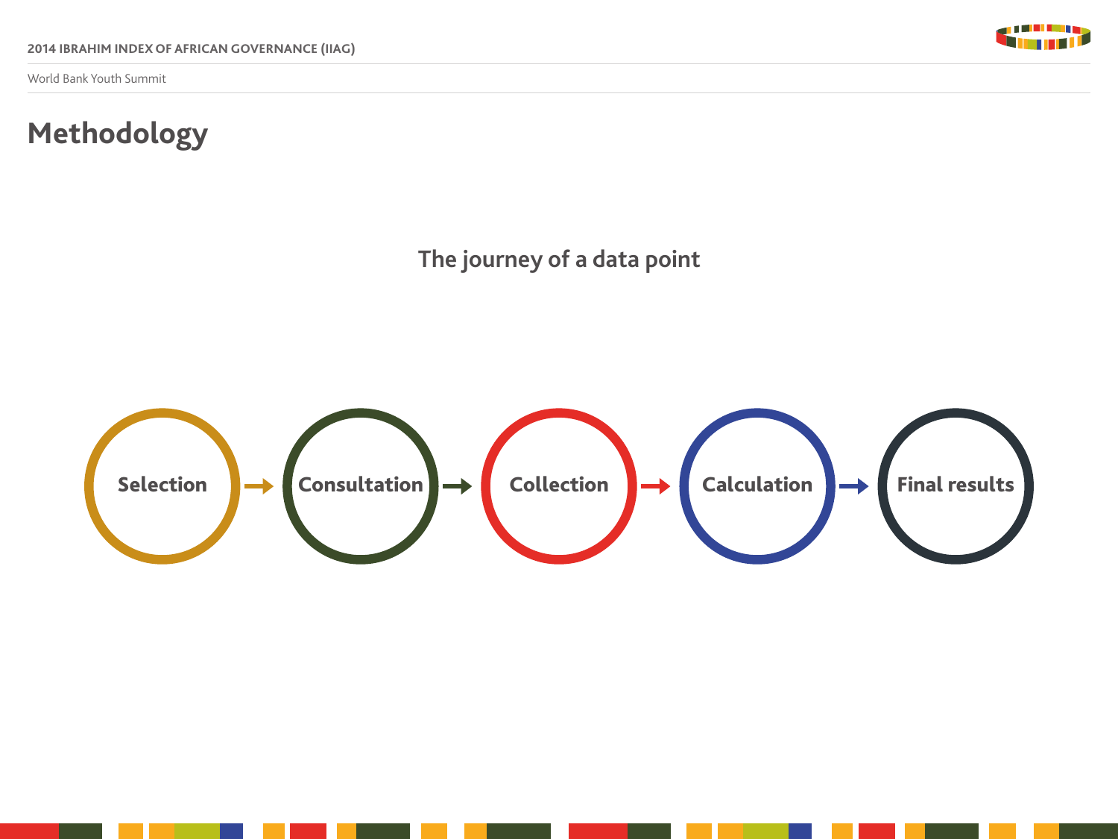

## **Methodology**

**The journey of a data point**

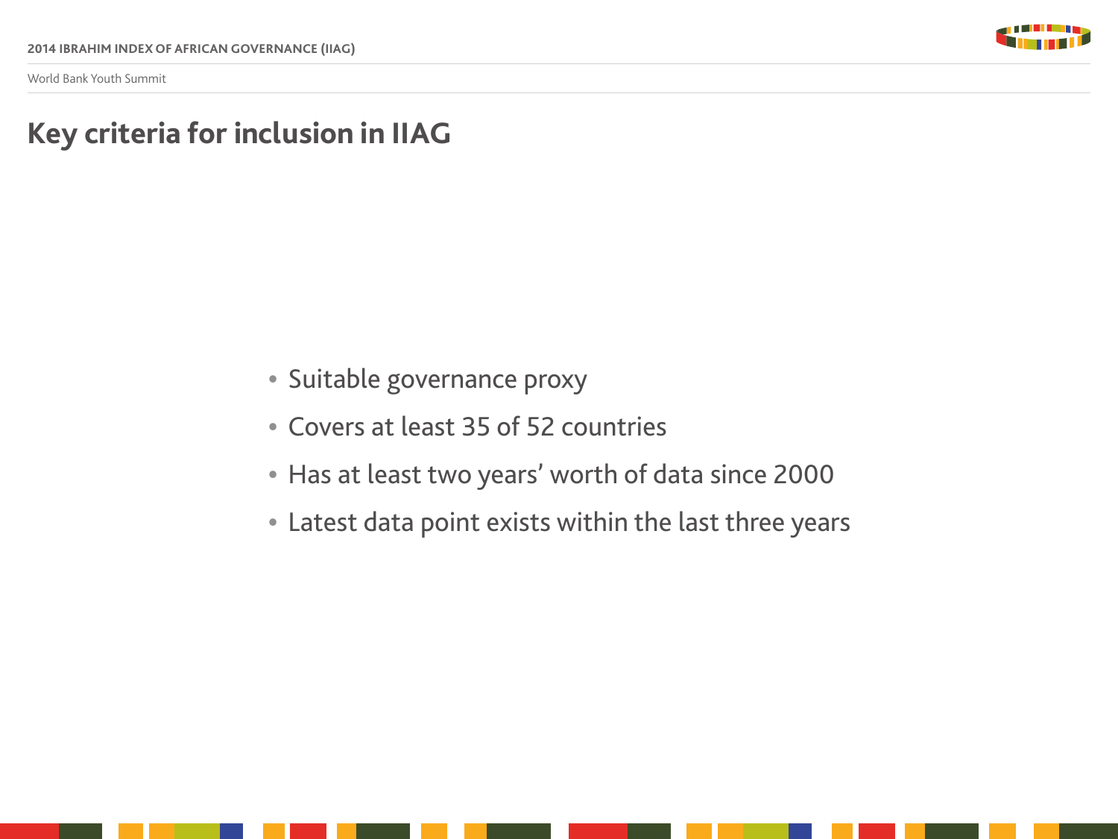

#### **Key criteria for inclusion in IIAG**

- Suitable governance proxy **•**
- Covers at least 35 of 52 countries **•**
- Has at least two years' worth of data since 2000 **•**
- Latest data point exists within the last three years **•**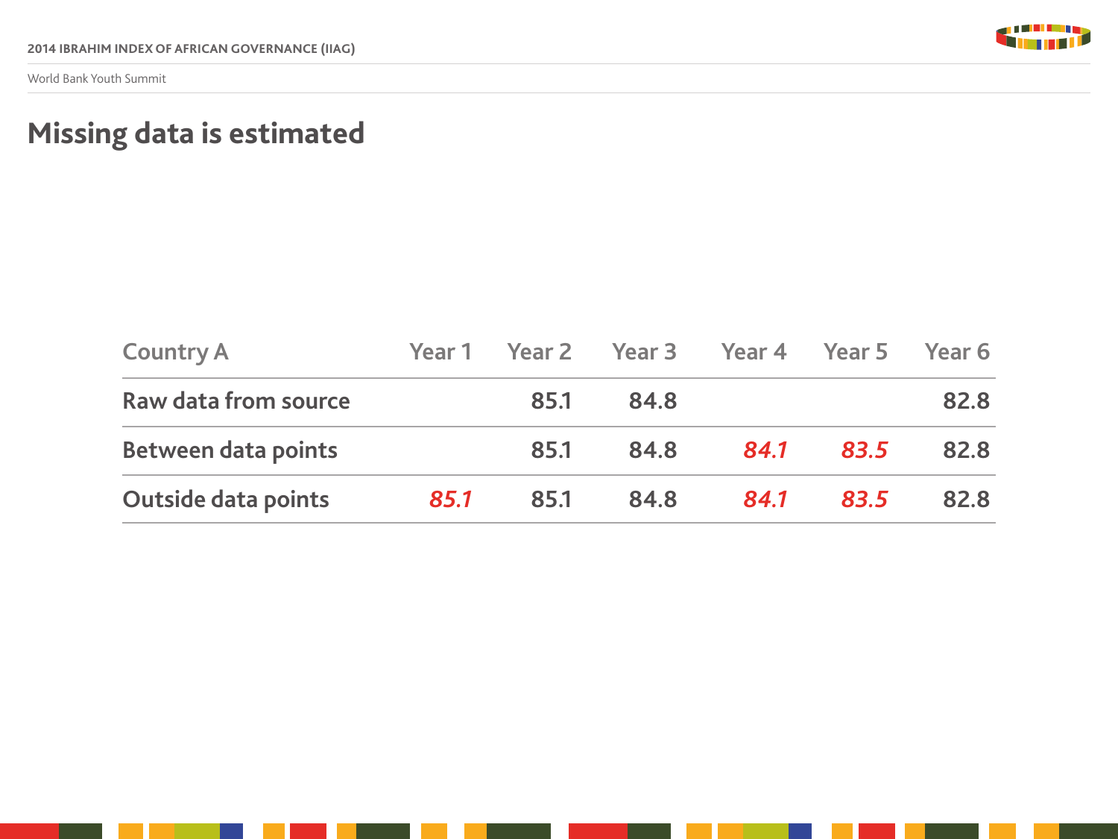

## **Missing data is estimated**

| <b>Country A</b>           | Year 1 |      | Year 2 Year 3 Year 4 Year 5 |      |      | Year 6 |
|----------------------------|--------|------|-----------------------------|------|------|--------|
| Raw data from source       |        | 85.1 | 84.8                        |      |      | 82.8   |
| <b>Between data points</b> |        | 85.1 | 84.8                        | 84.1 | 83.5 | 82.8   |
| <b>Outside data points</b> | 85.1   | 85.1 | 84.8                        | 84.1 | 83.5 | 82.8   |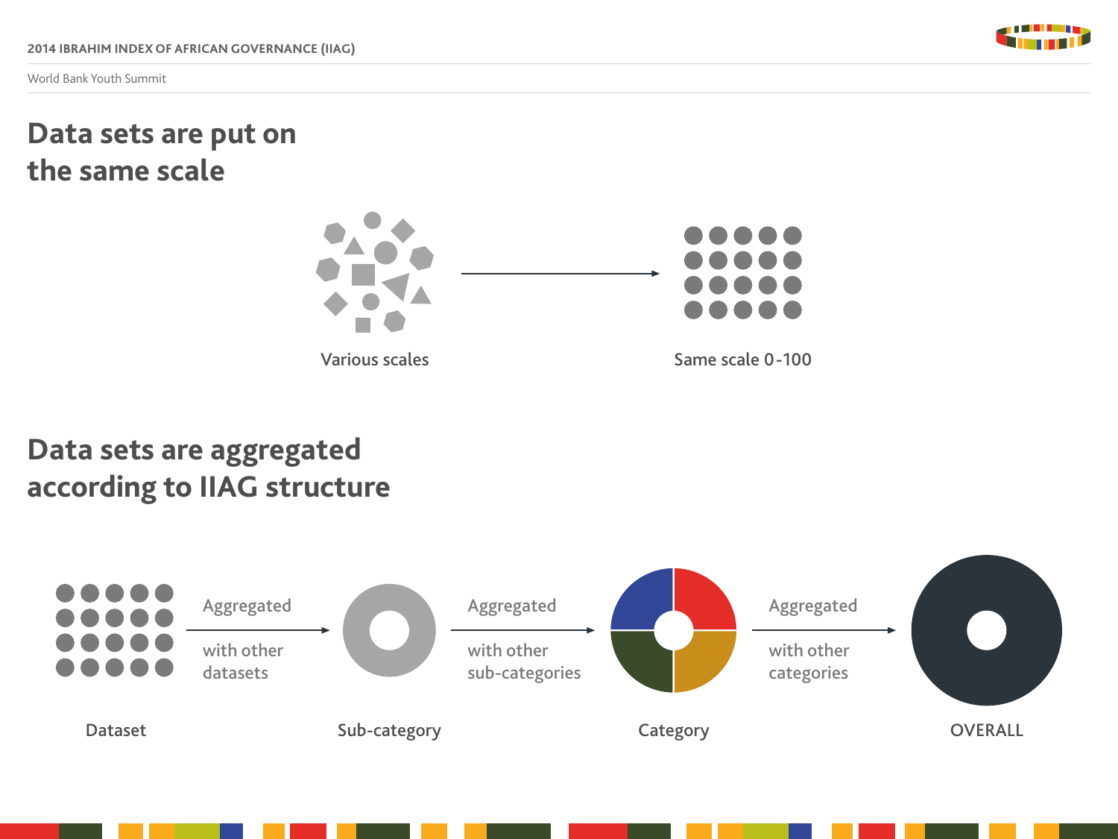

#### **Data sets are put on the same scale**



## **Data sets are aggregated according to IIAG structure**